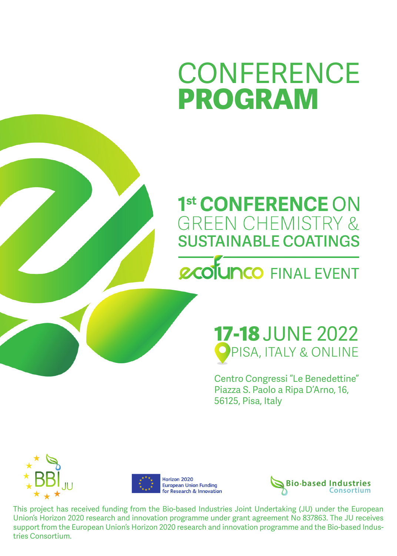# **CONFERENCE PROGRAM**

### 1st CONFERENCE ON **GREEN CHEMISTRY & SUSTAINABLE COATINGS**

## **PCOLUNCO FINAL EVENT**

#### **17-18** JUNE 2022 **PISA, ITALY & ONLINE**

Centro Congressi "Le Benedettine" Piazza S. Paolo a Ripa D'Arno, 16, 56125, Pisa, Italy







This project has received funding from the Bio-based Industries Joint Undertaking (JU) under the European Union's Horizon 2020 research and innovation programme under grant agreement No 837863. The JU receives support from the European Union's Horizon 2020 research and innovation programme and the Bio-based Industries Consortium.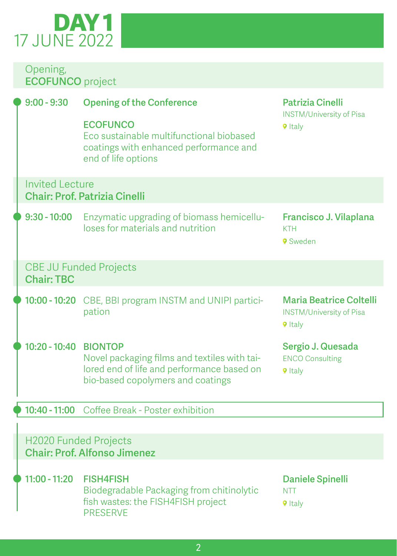## 17 JUNE 2022 **DAY 1**

#### Opening, **ECOFUNCO** project

| $9:00 - 9:30$                | <b>Opening of the Conference</b><br><b>ECOFUNCO</b><br>Eco sustainable multifunctional biobased<br>coatings with enhanced performance and<br>end of life options | <b>Patrizia Cinelli</b><br><b>INSTM/University of Pisa</b><br><b>9</b> Italy        |
|------------------------------|------------------------------------------------------------------------------------------------------------------------------------------------------------------|-------------------------------------------------------------------------------------|
| <b>Invited Lecture</b>       | <b>Chair: Prof. Patrizia Cinelli</b>                                                                                                                             |                                                                                     |
| $9:30 - 10:00$               | Enzymatic upgrading of biomass hemicellu-<br>loses for materials and nutrition                                                                                   | Francisco J. Vilaplana<br><b>KTH</b><br>9 Sweden                                    |
| <b>Chair: TBC</b>            | <b>CBE JU Funded Projects</b>                                                                                                                                    |                                                                                     |
|                              | 10:00 - 10:20 CBE, BBI program INSTM and UNIPI partici-<br>pation                                                                                                | <b>Maria Beatrice Coltelli</b><br><b>INSTM/University of Pisa</b><br><b>9</b> Italy |
| 10:20 - 10:40 BIONTOP        | Novel packaging films and textiles with tai-<br>lored end of life and performance based on<br>bio-based copolymers and coatings                                  | Sergio J. Quesada<br><b>ENCO Consulting</b><br><b>9</b> Italy                       |
|                              | 10:40 - 11:00 Coffee Break - Poster exhibition                                                                                                                   |                                                                                     |
| <b>H2020 Funded Projects</b> | <b>Chair: Prof. Alfonso Jimenez</b>                                                                                                                              |                                                                                     |
| $11:00 - 11:20$              | <b>FISH4FISH</b><br>Biodegradable Packaging from chitinolytic<br>fish wastes: the FISH4FISH project<br><b>PRESERVE</b>                                           | <b>Daniele Spinelli</b><br><b>NTT</b><br><b>9</b> Italy                             |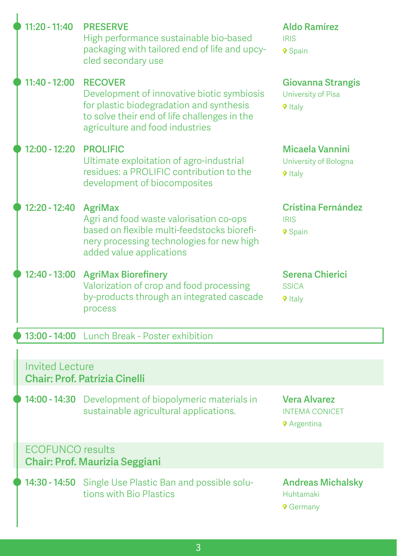| $11:20 - 11:40$         | <b>PRESERVE</b><br>High performance sustainable bio-based<br>packaging with tailored end of life and upcy-<br>cled secondary use                                                            | <b>Aldo Ramírez</b><br><b>IRIS</b><br>9 Spain                      |
|-------------------------|---------------------------------------------------------------------------------------------------------------------------------------------------------------------------------------------|--------------------------------------------------------------------|
| 11:40 - 12:00           | <b>RECOVER</b><br>Development of innovative biotic symbiosis<br>for plastic biodegradation and synthesis<br>to solve their end of life challenges in the<br>agriculture and food industries | <b>Giovanna Strangis</b><br>University of Pisa<br><b>9</b> Italy   |
| $12:00 - 12:20$         | <b>PROLIFIC</b><br>Ultimate exploitation of agro-industrial<br>residues: a PROLIFIC contribution to the<br>development of biocomposites                                                     | Micaela Vannini<br>University of Bologna<br><b>9</b> Italy         |
| 12:20 - 12:40           | <b>AgriMax</b><br>Agri and food waste valorisation co-ops<br>based on flexible multi-feedstocks biorefi-<br>nery processing technologies for new high<br>added value applications           | <b>Cristina Fernández</b><br><b>IRIS</b><br>9 Spain                |
| 12:40 - 13:00           | <b>AgriMax Biorefinery</b><br>Valorization of crop and food processing<br>by-products through an integrated cascade<br>process                                                              | Serena Chierici<br><b>SSICA</b><br><b>9</b> Italy                  |
|                         | 13:00 - 14:00 Lunch Break - Poster exhibition                                                                                                                                               |                                                                    |
| <b>Invited Lecture</b>  | <b>Chair: Prof. Patrizia Cinelli</b>                                                                                                                                                        |                                                                    |
|                         | 14:00 - 14:30 Development of biopolymeric materials in<br>sustainable agricultural applications.                                                                                            | <b>Vera Alvarez</b><br><b>INTEMA CONICET</b><br><b>9</b> Argentina |
| <b>ECOFUNCO</b> results | <b>Chair: Prof. Maurizia Seggiani</b>                                                                                                                                                       |                                                                    |
|                         | 14:30 - 14:50 Single Use Plastic Ban and possible solu-<br>tions with Bio Plastics                                                                                                          | <b>Andreas Michalsky</b><br>Huhtamaki<br><b>9</b> Germany          |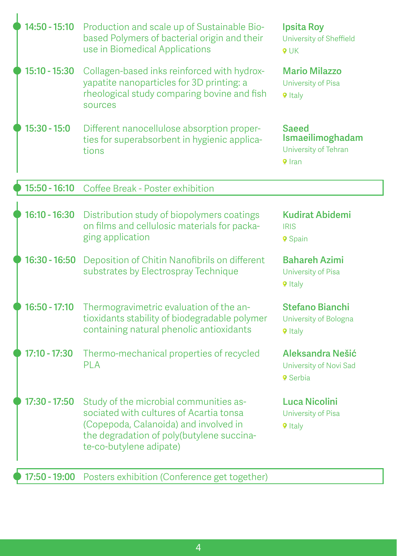| 14:50 - 15:10   | Production and scale up of Sustainable Bio-<br>based Polymers of bacterial origin and their<br>use in Biomedical Applications                                                                      | <b>Ipsita Roy</b><br>University of Sheffield<br>$9$ UK             |
|-----------------|----------------------------------------------------------------------------------------------------------------------------------------------------------------------------------------------------|--------------------------------------------------------------------|
| 15:10 - 15:30   | Collagen-based inks reinforced with hydrox-<br>yapatite nanoparticles for 3D printing: a<br>rheological study comparing bovine and fish<br>sources                                                 | <b>Mario Milazzo</b><br>University of Pisa<br><b>9</b> Italy       |
| $15:30 - 15:0$  | Different nanocellulose absorption proper-<br>ties for superabsorbent in hygienic applica-<br>tions                                                                                                | Saeed<br>Ismaeilimoghadam<br>University of Tehran<br><b>9</b> Iran |
| 15:50 - 16:10   | Coffee Break - Poster exhibition                                                                                                                                                                   |                                                                    |
| 16:10 - 16:30   | Distribution study of biopolymers coatings<br>on films and cellulosic materials for packa-<br>ging application                                                                                     | Kudirat Abidemi<br><b>IRIS</b><br>9 Spain                          |
| $16:30 - 16:50$ | Deposition of Chitin Nanofibrils on different<br>substrates by Electrospray Technique                                                                                                              | <b>Bahareh Azimi</b><br>University of Pisa<br><b>9</b> Italy       |
| $16:50 - 17:10$ | Thermogravimetric evaluation of the an-<br>tioxidants stability of biodegradable polymer<br>containing natural phenolic antioxidants                                                               | <b>Stefano Bianchi</b><br>University of Bologna<br><b>9</b> Italy  |
| $17:10 - 17:30$ | Thermo-mechanical properties of recycled<br>PLA                                                                                                                                                    | Aleksandra Nešić<br>University of Novi Sad<br><b>9</b> Serbia      |
| $17:30 - 17:50$ | Study of the microbial communities as-<br>sociated with cultures of Acartia tonsa<br>(Copepoda, Calanoida) and involved in<br>the degradation of poly(butylene succina-<br>te-co-butylene adipate) | Luca Nicolini<br>University of Pisa<br><b>9</b> Italy              |
| 17:50 - 19:00   | Posters exhibition (Conference get together)                                                                                                                                                       |                                                                    |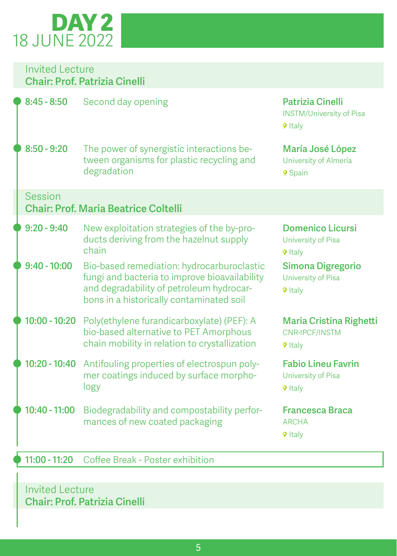## 18 JUNE 2022 **DAY 2**

| Invited Lecture<br><b>Chair: Prof. Patrizia Cinelli</b> |                                                                                                                                                                                     |                                                                              |
|---------------------------------------------------------|-------------------------------------------------------------------------------------------------------------------------------------------------------------------------------------|------------------------------------------------------------------------------|
| $8:45 - 8:50$                                           | Second day opening                                                                                                                                                                  | <b>Patrizia Cinelli</b><br><b>INSTM/University of Pisa</b><br><b>9</b> Italy |
| $8:50 - 9:20$                                           | The power of synergistic interactions be-<br>tween organisms for plastic recycling and<br>degradation                                                                               | María José López<br>University of Almería<br>9 Spain                         |
| Session                                                 | <b>Chair: Prof. Maria Beatrice Coltelli</b>                                                                                                                                         |                                                                              |
| $9:20 - 9:40$                                           | New exploitation strategies of the by-pro-<br>ducts deriving from the hazelnut supply<br>chain                                                                                      | <b>Domenico Licursi</b><br>University of Pisa<br><b>9</b> Italy              |
| $9:40 - 10:00$                                          | Bio-based remediation: hydrocarburoclastic<br>fungi and bacteria to improve bioavailability<br>and degradability of petroleum hydrocar-<br>bons in a historically contaminated soil | <b>Simona Digregorio</b><br>University of Pisa<br><b>9</b> Italy             |
| $10:00 - 10:20$                                         | Poly(ethylene furandicarboxylate) (PEF): A<br>bio-based alternative to PET Amorphous<br>chain mobility in relation to crystallization                                               | <b>Maria Cristina Righetti</b><br>CNR-IPCF/INSTM<br><b>9</b> Italy           |
| $10:20 - 10:40$                                         | Antifouling properties of electrospun poly-<br>mer coatings induced by surface morpho-<br>logy                                                                                      | <b>Fabio Lineu Favrin</b><br>University of Pisa<br><b>9</b> Italy            |
| $10:40 - 11:00$                                         | Biodegradability and compostability perfor-<br>mances of new coated packaging                                                                                                       | <b>Francesca Braca</b><br><b>ARCHA</b><br><b>9</b> Italy                     |
| $11:00 - 11:20$                                         | Coffee Break - Poster exhibition                                                                                                                                                    |                                                                              |

#### Invited Lecture **Chair: Prof. Patrizia Cinelli**